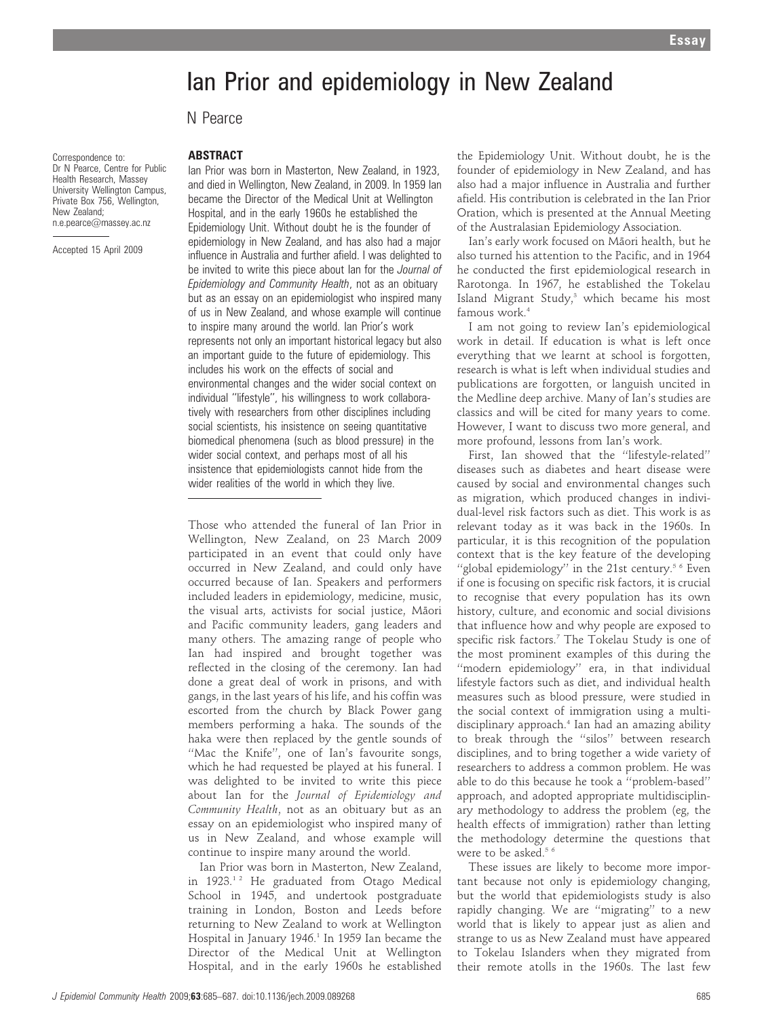# Ian Prior and epidemiology in New Zealand

N Pearce

#### Correspondence to: Dr N Pearce, Centre for Public Health Research, Massey University Wellington Campus, Private Box 756, Wellington, New Zealand; n.e.pearce@massey.ac.nz

Accepted 15 April 2009

# **ARSTRACT**

Ian Prior was born in Masterton, New Zealand, in 1923, and died in Wellington, New Zealand, in 2009. In 1959 Ian became the Director of the Medical Unit at Wellington Hospital, and in the early 1960s he established the Epidemiology Unit. Without doubt he is the founder of epidemiology in New Zealand, and has also had a major influence in Australia and further afield. I was delighted to be invited to write this piece about Ian for the Journal of Epidemiology and Community Health, not as an obituary but as an essay on an epidemiologist who inspired many of us in New Zealand, and whose example will continue to inspire many around the world. Ian Prior's work represents not only an important historical legacy but also an important guide to the future of epidemiology. This includes his work on the effects of social and environmental changes and the wider social context on individual ''lifestyle'', his willingness to work collaboratively with researchers from other disciplines including social scientists, his insistence on seeing quantitative biomedical phenomena (such as blood pressure) in the wider social context, and perhaps most of all his insistence that epidemiologists cannot hide from the wider realities of the world in which they live.

Those who attended the funeral of Ian Prior in Wellington, New Zealand, on 23 March 2009 participated in an event that could only have occurred in New Zealand, and could only have occurred because of Ian. Speakers and performers included leaders in epidemiology, medicine, music, the visual arts, activists for social justice, Māori and Pacific community leaders, gang leaders and many others. The amazing range of people who Ian had inspired and brought together was reflected in the closing of the ceremony. Ian had done a great deal of work in prisons, and with gangs, in the last years of his life, and his coffin was escorted from the church by Black Power gang members performing a haka. The sounds of the haka were then replaced by the gentle sounds of "Mac the Knife", one of Ian's favourite songs, which he had requested be played at his funeral. I was delighted to be invited to write this piece about Ian for the Journal of Epidemiology and Community Health, not as an obituary but as an essay on an epidemiologist who inspired many of us in New Zealand, and whose example will continue to inspire many around the world.

Ian Prior was born in Masterton, New Zealand, in 1923.<sup>12</sup> He graduated from Otago Medical School in 1945, and undertook postgraduate training in London, Boston and Leeds before returning to New Zealand to work at Wellington Hospital in January 1946.<sup>1</sup> In 1959 Ian became the Director of the Medical Unit at Wellington Hospital, and in the early 1960s he established

the Epidemiology Unit. Without doubt, he is the founder of epidemiology in New Zealand, and has also had a major influence in Australia and further afield. His contribution is celebrated in the Ian Prior Oration, which is presented at the Annual Meeting of the Australasian Epidemiology Association.

Ian's early work focused on Māori health, but he also turned his attention to the Pacific, and in 1964 he conducted the first epidemiological research in Rarotonga. In 1967, he established the Tokelau Island Migrant Study,<sup>3</sup> which became his most famous work.<sup>4</sup>

I am not going to review Ian's epidemiological work in detail. If education is what is left once everything that we learnt at school is forgotten, research is what is left when individual studies and publications are forgotten, or languish uncited in the Medline deep archive. Many of Ian's studies are classics and will be cited for many years to come. However, I want to discuss two more general, and more profound, lessons from Ian's work.

First, Ian showed that the ''lifestyle-related'' diseases such as diabetes and heart disease were caused by social and environmental changes such as migration, which produced changes in individual-level risk factors such as diet. This work is as relevant today as it was back in the 1960s. In particular, it is this recognition of the population context that is the key feature of the developing "global epidemiology" in the 21st century.<sup>56</sup> Even if one is focusing on specific risk factors, it is crucial to recognise that every population has its own history, culture, and economic and social divisions that influence how and why people are exposed to specific risk factors.<sup>7</sup> The Tokelau Study is one of the most prominent examples of this during the ''modern epidemiology'' era, in that individual lifestyle factors such as diet, and individual health measures such as blood pressure, were studied in the social context of immigration using a multidisciplinary approach.<sup>4</sup> Ian had an amazing ability to break through the ''silos'' between research disciplines, and to bring together a wide variety of researchers to address a common problem. He was able to do this because he took a ''problem-based'' approach, and adopted appropriate multidisciplinary methodology to address the problem (eg, the health effects of immigration) rather than letting the methodology determine the questions that were to be asked.<sup>56</sup>

These issues are likely to become more important because not only is epidemiology changing, but the world that epidemiologists study is also rapidly changing. We are ''migrating'' to a new world that is likely to appear just as alien and strange to us as New Zealand must have appeared to Tokelau Islanders when they migrated from their remote atolls in the 1960s. The last few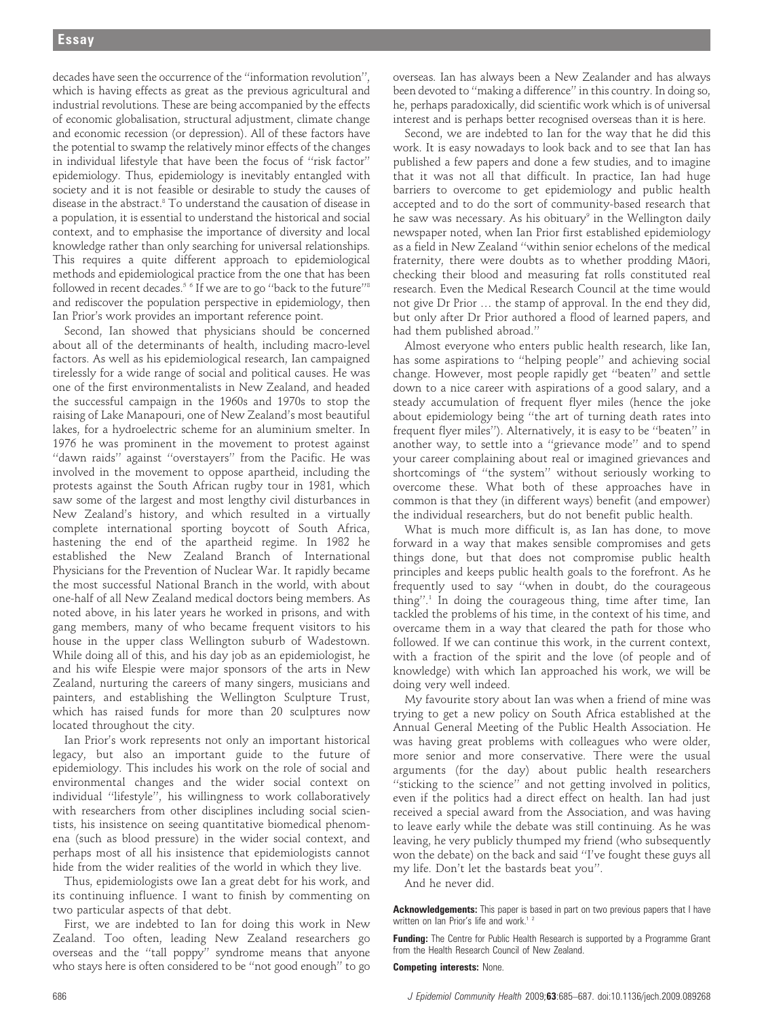decades have seen the occurrence of the ''information revolution'', which is having effects as great as the previous agricultural and industrial revolutions. These are being accompanied by the effects of economic globalisation, structural adjustment, climate change and economic recession (or depression). All of these factors have the potential to swamp the relatively minor effects of the changes in individual lifestyle that have been the focus of ''risk factor'' epidemiology. Thus, epidemiology is inevitably entangled with society and it is not feasible or desirable to study the causes of disease in the abstract.8 To understand the causation of disease in a population, it is essential to understand the historical and social context, and to emphasise the importance of diversity and local knowledge rather than only searching for universal relationships. This requires a quite different approach to epidemiological methods and epidemiological practice from the one that has been followed in recent decades.<sup>5 6</sup> If we are to go "back to the future"<sup>8</sup> and rediscover the population perspective in epidemiology, then Ian Prior's work provides an important reference point.

Second, Ian showed that physicians should be concerned about all of the determinants of health, including macro-level factors. As well as his epidemiological research, Ian campaigned tirelessly for a wide range of social and political causes. He was one of the first environmentalists in New Zealand, and headed the successful campaign in the 1960s and 1970s to stop the raising of Lake Manapouri, one of New Zealand's most beautiful lakes, for a hydroelectric scheme for an aluminium smelter. In 1976 he was prominent in the movement to protest against ''dawn raids'' against ''overstayers'' from the Pacific. He was involved in the movement to oppose apartheid, including the protests against the South African rugby tour in 1981, which saw some of the largest and most lengthy civil disturbances in New Zealand's history, and which resulted in a virtually complete international sporting boycott of South Africa, hastening the end of the apartheid regime. In 1982 he established the New Zealand Branch of International Physicians for the Prevention of Nuclear War. It rapidly became the most successful National Branch in the world, with about one-half of all New Zealand medical doctors being members. As noted above, in his later years he worked in prisons, and with gang members, many of who became frequent visitors to his house in the upper class Wellington suburb of Wadestown. While doing all of this, and his day job as an epidemiologist, he and his wife Elespie were major sponsors of the arts in New Zealand, nurturing the careers of many singers, musicians and painters, and establishing the Wellington Sculpture Trust, which has raised funds for more than 20 sculptures now located throughout the city.

Ian Prior's work represents not only an important historical legacy, but also an important guide to the future of epidemiology. This includes his work on the role of social and environmental changes and the wider social context on individual ''lifestyle'', his willingness to work collaboratively with researchers from other disciplines including social scientists, his insistence on seeing quantitative biomedical phenomena (such as blood pressure) in the wider social context, and perhaps most of all his insistence that epidemiologists cannot hide from the wider realities of the world in which they live.

Thus, epidemiologists owe Ian a great debt for his work, and its continuing influence. I want to finish by commenting on two particular aspects of that debt.

First, we are indebted to Ian for doing this work in New Zealand. Too often, leading New Zealand researchers go overseas and the ''tall poppy'' syndrome means that anyone who stays here is often considered to be ''not good enough'' to go

overseas. Ian has always been a New Zealander and has always been devoted to ''making a difference'' in this country. In doing so, he, perhaps paradoxically, did scientific work which is of universal interest and is perhaps better recognised overseas than it is here.

Second, we are indebted to Ian for the way that he did this work. It is easy nowadays to look back and to see that Ian has published a few papers and done a few studies, and to imagine that it was not all that difficult. In practice, Ian had huge barriers to overcome to get epidemiology and public health accepted and to do the sort of community-based research that he saw was necessary. As his obituary<sup>9</sup> in the Wellington daily newspaper noted, when Ian Prior first established epidemiology as a field in New Zealand ''within senior echelons of the medical fraternity, there were doubts as to whether prodding Māori, checking their blood and measuring fat rolls constituted real research. Even the Medical Research Council at the time would not give Dr Prior … the stamp of approval. In the end they did, but only after Dr Prior authored a flood of learned papers, and had them published abroad.''

Almost everyone who enters public health research, like Ian, has some aspirations to ''helping people'' and achieving social change. However, most people rapidly get ''beaten'' and settle down to a nice career with aspirations of a good salary, and a steady accumulation of frequent flyer miles (hence the joke about epidemiology being ''the art of turning death rates into frequent flyer miles''). Alternatively, it is easy to be ''beaten'' in another way, to settle into a ''grievance mode'' and to spend your career complaining about real or imagined grievances and shortcomings of ''the system'' without seriously working to overcome these. What both of these approaches have in common is that they (in different ways) benefit (and empower) the individual researchers, but do not benefit public health.

What is much more difficult is, as Ian has done, to move forward in a way that makes sensible compromises and gets things done, but that does not compromise public health principles and keeps public health goals to the forefront. As he frequently used to say ''when in doubt, do the courageous thing''.1 In doing the courageous thing, time after time, Ian tackled the problems of his time, in the context of his time, and overcame them in a way that cleared the path for those who followed. If we can continue this work, in the current context, with a fraction of the spirit and the love (of people and of knowledge) with which Ian approached his work, we will be doing very well indeed.

My favourite story about Ian was when a friend of mine was trying to get a new policy on South Africa established at the Annual General Meeting of the Public Health Association. He was having great problems with colleagues who were older, more senior and more conservative. There were the usual arguments (for the day) about public health researchers "sticking to the science" and not getting involved in politics, even if the politics had a direct effect on health. Ian had just received a special award from the Association, and was having to leave early while the debate was still continuing. As he was leaving, he very publicly thumped my friend (who subsequently won the debate) on the back and said ''I've fought these guys all my life. Don't let the bastards beat you''.

And he never did.

Acknowledgements: This paper is based in part on two previous papers that I have written on Ian Prior's life and work.<sup>1</sup>

Funding: The Centre for Public Health Research is supported by a Programme Grant from the Health Research Council of New Zealand.

Competing interests: None.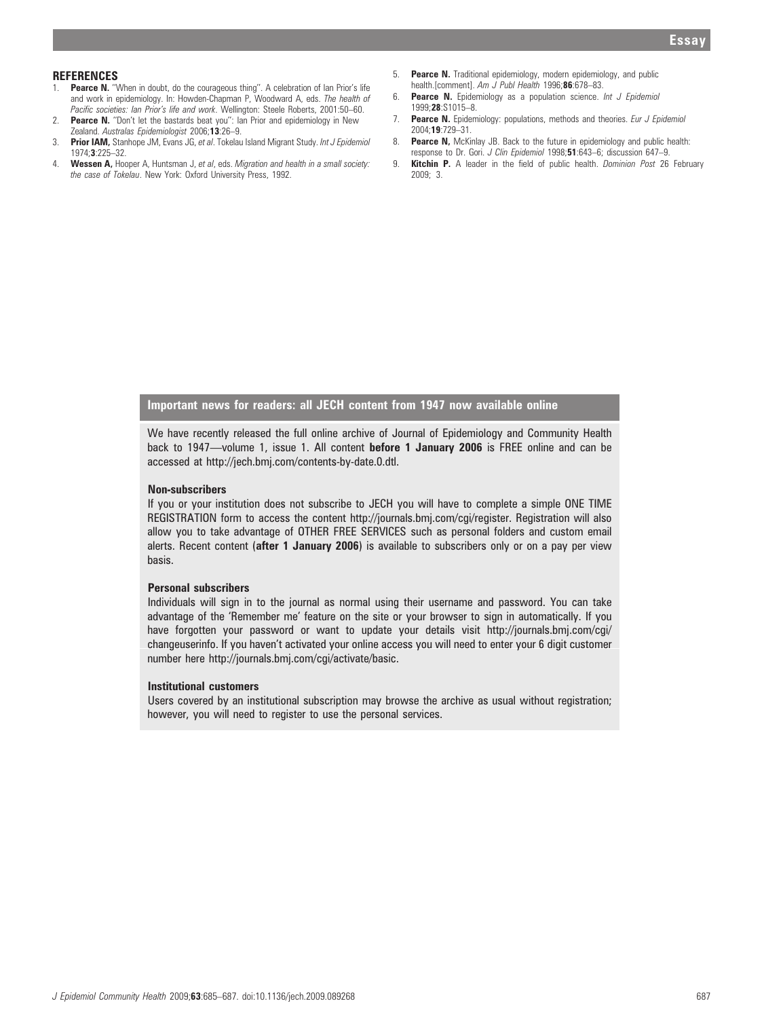# REFERENCES

- 1. Pearce N. "When in doubt, do the courageous thing". A celebration of lan Prior's life and work in epidemiology. In: Howden-Chapman P, Woodward A, eds. The health of Pacific societies: Ian Prior's life and work. Wellington: Steele Roberts, 2001:50–60.
- 2. **Pearce N.** "Don't let the bastards beat you": lan Prior and epidemiology in New Zealand. Australas Epidemiologist 2006;13:26-9.
- 3. Prior IAM, Stanhope JM, Evans JG, et al. Tokelau Island Migrant Study. Int J Epidemiol 1974;3:225–32.
- 4. Wessen A, Hooper A, Huntsman J, et al, eds. Migration and health in a small society: the case of Tokelau. New York: Oxford University Press, 1992.
- 5. Pearce N. Traditional epidemiology, modern epidemiology, and public health.[comment]. Am J Publ Health 1996;86:678-83.
- 6. Pearce N. Epidemiology as a population science. Int J Epidemiol 1999;28:S1015–8.
- 7. **Pearce N.** Epidemiology: populations, methods and theories. Eur J Epidemiol 2004;19:729–31.
- 8. Pearce N, McKinlay JB. Back to the future in epidemiology and public health: response to Dr. Gori. J Clin Epidemiol 1998;51:643-6; discussion 647-9.
- 9. **Kitchin P.** A leader in the field of public health. Dominion Post 26 February  $2009 - 3$

# Important news for readers: all JECH content from 1947 now available online

We have recently released the full online archive of Journal of Epidemiology and Community Health back to 1947—volume 1, issue 1. All content before 1 January 2006 is FREE online and can be accessed at http://jech.bmj.com/contents-by-date.0.dtl.

## Non-subscribers

If you or your institution does not subscribe to JECH you will have to complete a simple ONE TIME REGISTRATION form to access the content http://journals.bmj.com/cgi/register. Registration will also allow you to take advantage of OTHER FREE SERVICES such as personal folders and custom email alerts. Recent content (after 1 January 2006) is available to subscribers only or on a pay per view basis.

### Personal subscribers

Individuals will sign in to the journal as normal using their username and password. You can take advantage of the 'Remember me' feature on the site or your browser to sign in automatically. If you have forgotten your password or want to update your details visit http://journals.bmj.com/cgi/ changeuserinfo. If you haven't activated your online access you will need to enter your 6 digit customer number here http://journals.bmj.com/cgi/activate/basic.

# Institutional customers

Users covered by an institutional subscription may browse the archive as usual without registration; however, you will need to register to use the personal services.